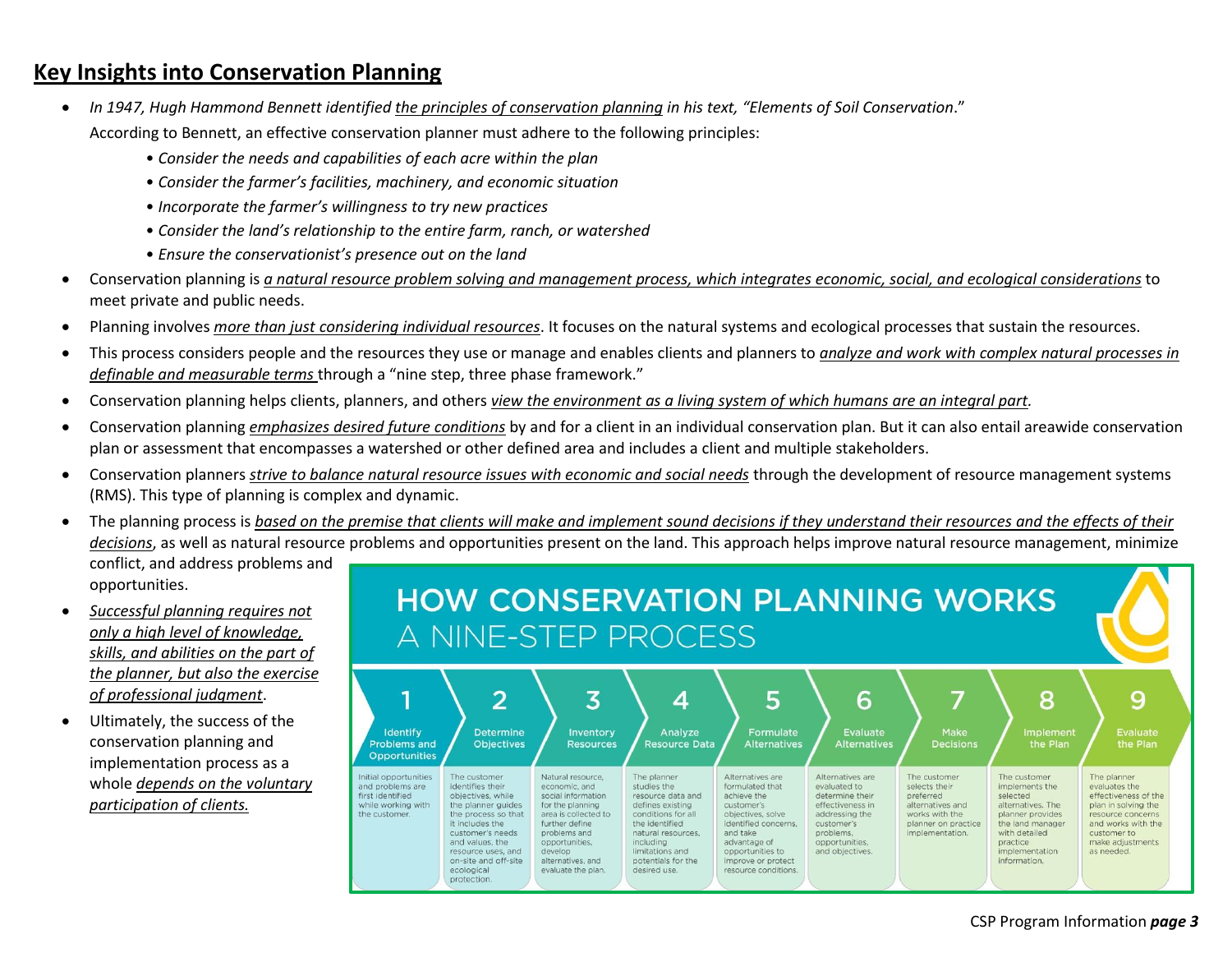## **Key Insights into Conservation Planning**

- *In 1947, Hugh Hammond Bennett identified the principles of conservation planning in his text, "Elements of Soil Conservation*." According to Bennett, an effective conservation planner must adhere to the following principles:
	- *Consider the needs and capabilities of each acre within the plan*
	- *Consider the farmer's facilities, machinery, and economic situation*
	- *Incorporate the farmer's willingness to try new practices*
	- *Consider the land's relationship to the entire farm, ranch, or watershed*
	- *Ensure the conservationist's presence out on the land*
- Conservation planning is *a natural resource problem solving and management process, which integrates economic, social, and ecological considerations* to meet private and public needs.
- Planning involves *more than just considering individual resources*. It focuses on the natural systems and ecological processes that sustain the resources.
- This process considers people and the resources they use or manage and enables clients and planners to *analyze and work with complex natural processes in definable and measurable terms* through a "nine step, three phase framework."
- Conservation planning helps clients, planners, and others *view the environment as a living system of which humans are an integral part.*
- Conservation planning *emphasizes desired future conditions* by and for a client in an individual conservation plan. But it can also entail areawide conservation plan or assessment that encompasses a watershed or other defined area and includes a client and multiple stakeholders.
- Conservation planners *strive to balance natural resource issues with economic and social needs* through the development of resource management systems (RMS). This type of planning is complex and dynamic.
- The planning process is *based on the premise that clients will make and implement sound decisions if they understand their resources and the effects of their decisions*, as well as natural resource problems and opportunities present on the land. This approach helps improve natural resource management, minimize conflict, and address problems and opportunities.
- *Successful planning requires not only a high level of knowledge, skills, and abilities on the part of the planner, but also the exercise of professional judgment*.
- Ultimately, the success of the conservation planning and implementation process as a whole *depends on the voluntary participation of clients.*